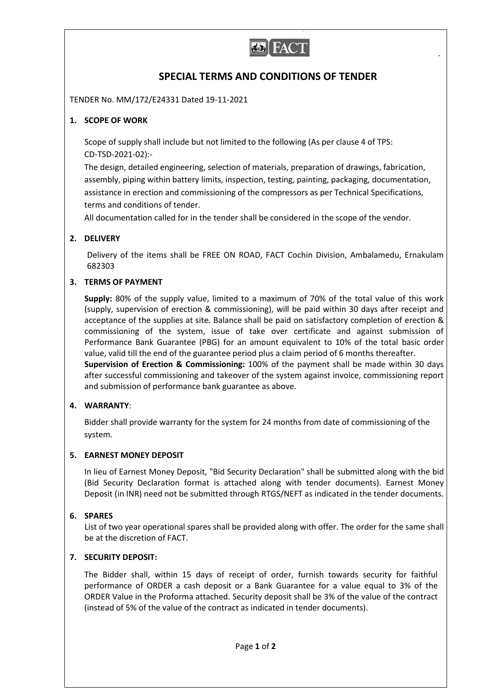

# **SPECIAL TERMS AND CONDITIONS OF TENDER**

TENDER No. MM/172/E24331 Dated 19-11-2021

## **1. SCOPE OF WORK**

Scope of supply shall include but not limited to the following (As per clause 4 of TPS: CD-TSD-2021-02):-

The design, detailed engineering, selection of materials, preparation of drawings, fabrication, assembly, piping within battery limits, inspection, testing, painting, packaging, documentation, assistance in erection and commissioning of the compressors as per Technical Specifications, terms and conditions of tender.

All documentation called for in the tender shall be considered in the scope of the vendor.

## **2. DELIVERY**

Delivery of the items shall be FREE ON ROAD, FACT Cochin Division, Ambalamedu, Ernakulam 682303

## **3. TERMS OF PAYMENT**

**Supply:** 80% of the supply value, limited to a maximum of 70% of the total value of this work (supply, supervision of erection & commissioning), will be paid within 30 days after receipt and acceptance of the supplies at site. Balance shall be paid on satisfactory completion of erection & commissioning of the system, issue of take over certificate and against submission of Performance Bank Guarantee (PBG) for an amount equivalent to 10% of the total basic order value, valid till the end of the guarantee period plus a claim period of 6 months thereafter. **Supervision of Erection & Commissioning:** 100% of the payment shall be made within 30 days

after successful commissioning and takeover of the system against invoice, commissioning report and submission of performance bank guarantee as above.

## **4. WARRANTY**:

Bidder shall provide warranty for the system for 24 months from date of commissioning of the system.

## **5. EARNEST MONEY DEPOSIT**

In lieu of Earnest Money Deposit, "Bid Security Declaration" shall be submitted along with the bid (Bid Security Declaration format is attached along with tender documents). Earnest Money Deposit (in INR) need not be submitted through RTGS/NEFT as indicated in the tender documents.

## **6. SPARES**

List of two year operational spares shall be provided along with offer. The order for the same shall be at the discretion of FACT.

## **7. SECURITY DEPOSIT:**

The Bidder shall, within 15 days of receipt of order, furnish towards security for faithful performance of ORDER a cash deposit or a Bank Guarantee for a value equal to 3% of the ORDER Value in the Proforma attached. Security deposit shall be 3% of the value of the contract (instead of 5% of the value of the contract as indicated in tender documents).